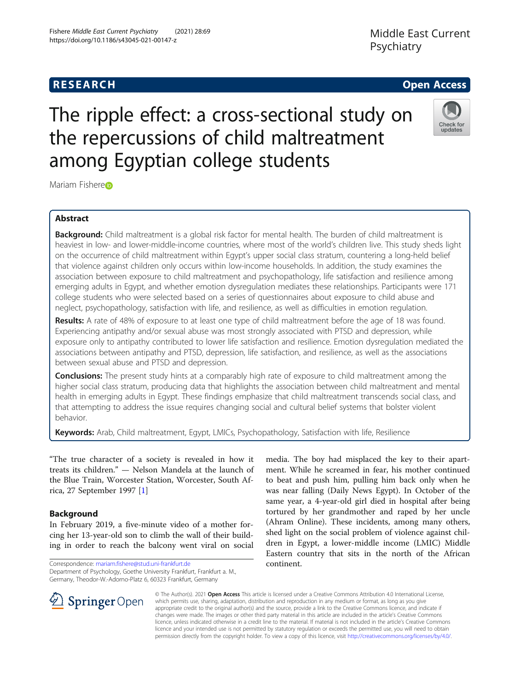# Fishere Middle East Current Psychiatry (2021) 28:69 https://doi.org/10.1186/s43045-021-00147-z

# **RESEARCH CHE Open Access**

# The ripple effect: a cross-sectional study on the repercussions of child maltreatment among Egyptian college students



Mariam Fish[e](http://orcid.org/0000-0003-4943-7943)re<sub>D</sub>

# Abstract

Background: Child maltreatment is a global risk factor for mental health. The burden of child maltreatment is heaviest in low- and lower-middle-income countries, where most of the world's children live. This study sheds light on the occurrence of child maltreatment within Egypt's upper social class stratum, countering a long-held belief that violence against children only occurs within low-income households. In addition, the study examines the association between exposure to child maltreatment and psychopathology, life satisfaction and resilience among emerging adults in Egypt, and whether emotion dysregulation mediates these relationships. Participants were 171 college students who were selected based on a series of questionnaires about exposure to child abuse and neglect, psychopathology, satisfaction with life, and resilience, as well as difficulties in emotion regulation.

Results: A rate of 48% of exposure to at least one type of child maltreatment before the age of 18 was found. Experiencing antipathy and/or sexual abuse was most strongly associated with PTSD and depression, while exposure only to antipathy contributed to lower life satisfaction and resilience. Emotion dysregulation mediated the associations between antipathy and PTSD, depression, life satisfaction, and resilience, as well as the associations between sexual abuse and PTSD and depression.

**Conclusions:** The present study hints at a comparably high rate of exposure to child maltreatment among the higher social class stratum, producing data that highlights the association between child maltreatment and mental health in emerging adults in Egypt. These findings emphasize that child maltreatment transcends social class, and that attempting to address the issue requires changing social and cultural belief systems that bolster violent behavior.

Keywords: Arab, Child maltreatment, Egypt, LMICs, Psychopathology, Satisfaction with life, Resilience

"The true character of a society is revealed in how it treats its children." — Nelson Mandela at the launch of the Blue Train, Worcester Station, Worcester, South Africa, 27 September 1997 [[1\]](#page-8-0)

# Background

In February 2019, a five-minute video of a mother forcing her 13-year-old son to climb the wall of their building in order to reach the balcony went viral on social

Correspondence: [mariam.fishere@stud.uni-frankfurt.de](mailto:mariam.fishere@stud.uni-frankfurt.de) Department of Psychology, Goethe University Frankfurt, Frankfurt a. M., Germany, Theodor-W.-Adorno-Platz 6, 60323 Frankfurt, Germany

media. The boy had misplaced the key to their apartment. While he screamed in fear, his mother continued to beat and push him, pulling him back only when he was near falling (Daily News Egypt). In October of the same year, a 4-year-old girl died in hospital after being tortured by her grandmother and raped by her uncle (Ahram Online). These incidents, among many others, shed light on the social problem of violence against children in Egypt, a lower-middle income (LMIC) Middle Eastern country that sits in the north of the African continent.



© The Author(s). 2021 Open Access This article is licensed under a Creative Commons Attribution 4.0 International License, which permits use, sharing, adaptation, distribution and reproduction in any medium or format, as long as you give appropriate credit to the original author(s) and the source, provide a link to the Creative Commons licence, and indicate if changes were made. The images or other third party material in this article are included in the article's Creative Commons licence, unless indicated otherwise in a credit line to the material. If material is not included in the article's Creative Commons licence and your intended use is not permitted by statutory regulation or exceeds the permitted use, you will need to obtain permission directly from the copyright holder. To view a copy of this licence, visit <http://creativecommons.org/licenses/by/4.0/>.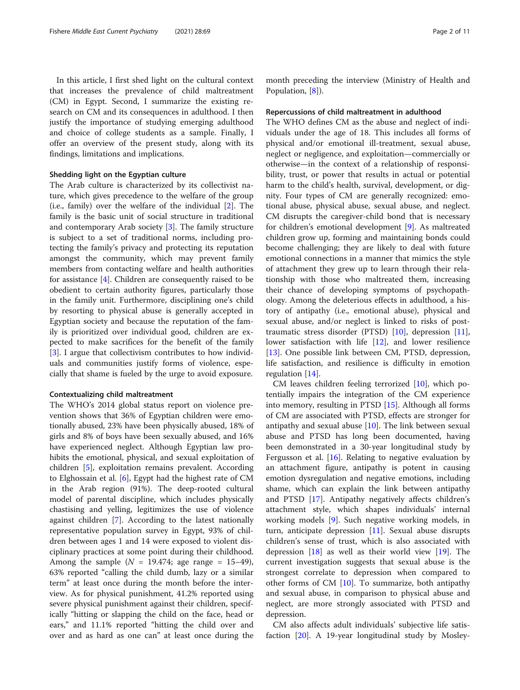In this article, I first shed light on the cultural context that increases the prevalence of child maltreatment (CM) in Egypt. Second, I summarize the existing research on CM and its consequences in adulthood. I then justify the importance of studying emerging adulthood and choice of college students as a sample. Finally, I offer an overview of the present study, along with its findings, limitations and implications.

## Shedding light on the Egyptian culture

The Arab culture is characterized by its collectivist nature, which gives precedence to the welfare of the group (i.e., family) over the welfare of the individual [[2\]](#page-8-0). The family is the basic unit of social structure in traditional and contemporary Arab society [[3\]](#page-8-0). The family structure is subject to a set of traditional norms, including protecting the family's privacy and protecting its reputation amongst the community, which may prevent family members from contacting welfare and health authorities for assistance [[4\]](#page-8-0). Children are consequently raised to be obedient to certain authority figures, particularly those in the family unit. Furthermore, disciplining one's child by resorting to physical abuse is generally accepted in Egyptian society and because the reputation of the family is prioritized over individual good, children are expected to make sacrifices for the benefit of the family [[3\]](#page-8-0). I argue that collectivism contributes to how individuals and communities justify forms of violence, especially that shame is fueled by the urge to avoid exposure.

#### Contextualizing child maltreatment

The WHO's 2014 global status report on violence prevention shows that 36% of Egyptian children were emotionally abused, 23% have been physically abused, 18% of girls and 8% of boys have been sexually abused, and 16% have experienced neglect. Although Egyptian law prohibits the emotional, physical, and sexual exploitation of children [\[5](#page-8-0)], exploitation remains prevalent. According to Elghossain et al. [[6\]](#page-8-0), Egypt had the highest rate of CM in the Arab region (91%). The deep-rooted cultural model of parental discipline, which includes physically chastising and yelling, legitimizes the use of violence against children [\[7](#page-8-0)]. According to the latest nationally representative population survey in Egypt, 93% of children between ages 1 and 14 were exposed to violent disciplinary practices at some point during their childhood. Among the sample  $(N = 19.474;$  age range = 15–49), 63% reported "calling the child dumb, lazy or a similar term" at least once during the month before the interview. As for physical punishment, 41.2% reported using severe physical punishment against their children, specifically "hitting or slapping the child on the face, head or ears," and 11.1% reported "hitting the child over and over and as hard as one can" at least once during the month preceding the interview (Ministry of Health and Population, [\[8](#page-8-0)]).

#### Repercussions of child maltreatment in adulthood

The WHO defines CM as the abuse and neglect of individuals under the age of 18. This includes all forms of physical and/or emotional ill-treatment, sexual abuse, neglect or negligence, and exploitation—commercially or otherwise—in the context of a relationship of responsibility, trust, or power that results in actual or potential harm to the child's health, survival, development, or dignity. Four types of CM are generally recognized: emotional abuse, physical abuse, sexual abuse, and neglect. CM disrupts the caregiver-child bond that is necessary for children's emotional development [[9\]](#page-8-0). As maltreated children grow up, forming and maintaining bonds could become challenging; they are likely to deal with future emotional connections in a manner that mimics the style of attachment they grew up to learn through their relationship with those who maltreated them, increasing their chance of developing symptoms of psychopathology. Among the deleterious effects in adulthood, a history of antipathy (i.e., emotional abuse), physical and sexual abuse, and/or neglect is linked to risks of posttraumatic stress disorder (PTSD) [\[10](#page-8-0)], depression [\[11](#page-8-0)], lower satisfaction with life [[12\]](#page-8-0), and lower resilience [[13\]](#page-8-0). One possible link between CM, PTSD, depression, life satisfaction, and resilience is difficulty in emotion regulation [\[14\]](#page-8-0).

CM leaves children feeling terrorized [[10\]](#page-8-0), which potentially impairs the integration of the CM experience into memory, resulting in PTSD [[15\]](#page-8-0). Although all forms of CM are associated with PTSD, effects are stronger for antipathy and sexual abuse  $[10]$  $[10]$ . The link between sexual abuse and PTSD has long been documented, having been demonstrated in a 30-year longitudinal study by Fergusson et al.  $[16]$  $[16]$  $[16]$ . Relating to negative evaluation by an attachment figure, antipathy is potent in causing emotion dysregulation and negative emotions, including shame, which can explain the link between antipathy and PTSD [\[17\]](#page-9-0). Antipathy negatively affects children's attachment style, which shapes individuals' internal working models [\[9](#page-8-0)]. Such negative working models, in turn, anticipate depression [\[11\]](#page-8-0). Sexual abuse disrupts children's sense of trust, which is also associated with depression  $[18]$  $[18]$  $[18]$  as well as their world view  $[19]$ . The current investigation suggests that sexual abuse is the strongest correlate to depression when compared to other forms of CM  $[10]$  $[10]$ . To summarize, both antipathy and sexual abuse, in comparison to physical abuse and neglect, are more strongly associated with PTSD and depression.

CM also affects adult individuals' subjective life satisfaction [\[20\]](#page-9-0). A 19-year longitudinal study by Mosley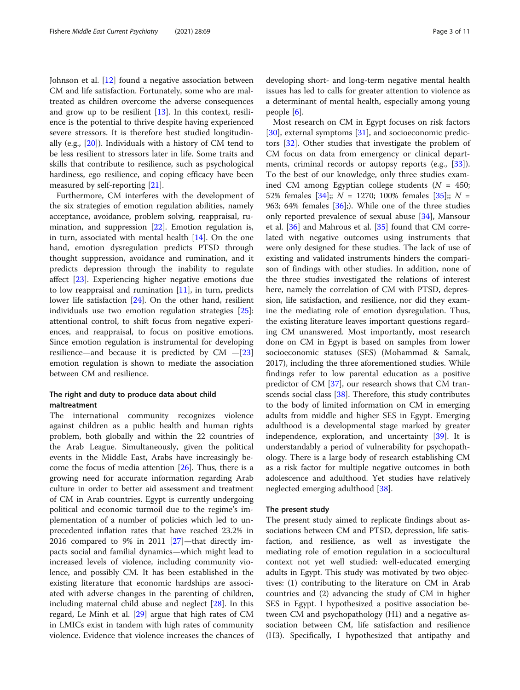Johnson et al. [\[12\]](#page-8-0) found a negative association between CM and life satisfaction. Fortunately, some who are maltreated as children overcome the adverse consequences and grow up to be resilient [\[13\]](#page-8-0). In this context, resilience is the potential to thrive despite having experienced severe stressors. It is therefore best studied longitudinally (e.g., [\[20](#page-9-0)]). Individuals with a history of CM tend to be less resilient to stressors later in life. Some traits and skills that contribute to resilience, such as psychological hardiness, ego resilience, and coping efficacy have been measured by self-reporting [[21](#page-9-0)].

Furthermore, CM interferes with the development of the six strategies of emotion regulation abilities, namely acceptance, avoidance, problem solving, reappraisal, rumination, and suppression [\[22](#page-9-0)]. Emotion regulation is, in turn, associated with mental health [[14\]](#page-8-0). On the one hand, emotion dysregulation predicts PTSD through thought suppression, avoidance and rumination, and it predicts depression through the inability to regulate affect [[23](#page-9-0)]. Experiencing higher negative emotions due to low reappraisal and rumination  $[11]$  $[11]$ , in turn, predicts lower life satisfaction [[24](#page-9-0)]. On the other hand, resilient individuals use two emotion regulation strategies [\[25](#page-9-0)]: attentional control, to shift focus from negative experiences, and reappraisal, to focus on positive emotions. Since emotion regulation is instrumental for developing resilience—and because it is predicted by  $CM - [23]$  $CM - [23]$  $CM - [23]$ emotion regulation is shown to mediate the association between CM and resilience.

# The right and duty to produce data about child maltreatment

The international community recognizes violence against children as a public health and human rights problem, both globally and within the 22 countries of the Arab League. Simultaneously, given the political events in the Middle East, Arabs have increasingly become the focus of media attention [[26\]](#page-9-0). Thus, there is a growing need for accurate information regarding Arab culture in order to better aid assessment and treatment of CM in Arab countries. Egypt is currently undergoing political and economic turmoil due to the regime's implementation of a number of policies which led to unprecedented inflation rates that have reached 23.2% in 2016 compared to 9% in 2011 [[27\]](#page-9-0)—that directly impacts social and familial dynamics—which might lead to increased levels of violence, including community violence, and possibly CM. It has been established in the existing literature that economic hardships are associated with adverse changes in the parenting of children, including maternal child abuse and neglect [\[28](#page-9-0)]. In this regard, Le Minh et al. [[29](#page-9-0)] argue that high rates of CM in LMICs exist in tandem with high rates of community violence. Evidence that violence increases the chances of

developing short- and long-term negative mental health issues has led to calls for greater attention to violence as a determinant of mental health, especially among young people [[6\]](#page-8-0).

Most research on CM in Egypt focuses on risk factors [[30\]](#page-9-0), external symptoms [[31\]](#page-9-0), and socioeconomic predictors [[32\]](#page-9-0). Other studies that investigate the problem of CM focus on data from emergency or clinical departments, criminal records or autopsy reports (e.g., [\[33](#page-9-0)]). To the best of our knowledge, only three studies examined CM among Egyptian college students ( $N = 450$ ; 52% females  $[34]$  $[34]$ ;; N = 1270; 100% females  $[35]$  $[35]$ ;; N = 963; 64% females  $[36]$ ;). While one of the three studies only reported prevalence of sexual abuse [[34\]](#page-9-0), Mansour et al. [\[36\]](#page-9-0) and Mahrous et al. [[35\]](#page-9-0) found that CM correlated with negative outcomes using instruments that were only designed for these studies. The lack of use of existing and validated instruments hinders the comparison of findings with other studies. In addition, none of the three studies investigated the relations of interest here, namely the correlation of CM with PTSD, depression, life satisfaction, and resilience, nor did they examine the mediating role of emotion dysregulation. Thus, the existing literature leaves important questions regarding CM unanswered. Most importantly, most research done on CM in Egypt is based on samples from lower socioeconomic statuses (SES) (Mohammad & Samak, 2017), including the three aforementioned studies. While findings refer to low parental education as a positive predictor of CM [[37\]](#page-9-0), our research shows that CM transcends social class [[38\]](#page-9-0). Therefore, this study contributes to the body of limited information on CM in emerging adults from middle and higher SES in Egypt. Emerging adulthood is a developmental stage marked by greater independence, exploration, and uncertainty [\[39](#page-9-0)]. It is understandably a period of vulnerability for psychopathology. There is a large body of research establishing CM as a risk factor for multiple negative outcomes in both adolescence and adulthood. Yet studies have relatively neglected emerging adulthood [[38\]](#page-9-0).

#### The present study

The present study aimed to replicate findings about associations between CM and PTSD, depression, life satisfaction, and resilience, as well as investigate the mediating role of emotion regulation in a sociocultural context not yet well studied: well-educated emerging adults in Egypt. This study was motivated by two objectives: (1) contributing to the literature on CM in Arab countries and (2) advancing the study of CM in higher SES in Egypt. I hypothesized a positive association between CM and psychopathology (H1) and a negative association between CM, life satisfaction and resilience (H3). Specifically, I hypothesized that antipathy and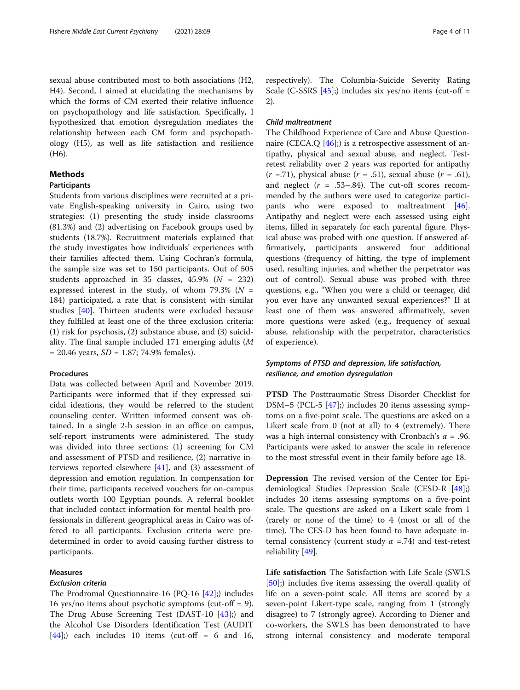sexual abuse contributed most to both associations (H2, H4). Second, I aimed at elucidating the mechanisms by which the forms of CM exerted their relative influence on psychopathology and life satisfaction. Specifically, I hypothesized that emotion dysregulation mediates the relationship between each CM form and psychopathology (H5), as well as life satisfaction and resilience (H6).

# Methods

# Participants

Students from various disciplines were recruited at a private English-speaking university in Cairo, using two strategies: (1) presenting the study inside classrooms (81.3%) and (2) advertising on Facebook groups used by students (18.7%). Recruitment materials explained that the study investigates how individuals' experiences with their families affected them. Using Cochran's formula, the sample size was set to 150 participants. Out of 505 students approached in 35 classes,  $45.9\%$  ( $N = 232$ ) expressed interest in the study, of whom 79.3% ( $N =$ 184) participated, a rate that is consistent with similar studies [\[40\]](#page-9-0). Thirteen students were excluded because they fulfilled at least one of the three exclusion criteria: (1) risk for psychosis, (2) substance abuse, and (3) suicidality. The final sample included 171 emerging adults (M  $= 20.46$  years,  $SD = 1.87$ ; 74.9% females).

# Procedures

Data was collected between April and November 2019. Participants were informed that if they expressed suicidal ideations, they would be referred to the student counseling center. Written informed consent was obtained. In a single 2-h session in an office on campus, self-report instruments were administered. The study was divided into three sections: (1) screening for CM and assessment of PTSD and resilience, (2) narrative interviews reported elsewhere [[41\]](#page-9-0), and (3) assessment of depression and emotion regulation. In compensation for their time, participants received vouchers for on-campus outlets worth 100 Egyptian pounds. A referral booklet that included contact information for mental health professionals in different geographical areas in Cairo was offered to all participants. Exclusion criteria were predetermined in order to avoid causing further distress to participants.

#### Measures

### Exclusion criteria

The Prodromal Questionnaire-16 (PQ-16 [[42\]](#page-9-0);) includes 16 yes/no items about psychotic symptoms (cut-off = 9). The Drug Abuse Screening Test (DAST-10 [\[43](#page-9-0)];) and the Alcohol Use Disorders Identification Test (AUDIT  $[44]$  $[44]$ ;) each includes 10 items (cut-off = 6 and 16, respectively). The Columbia-Suicide Severity Rating Scale (C-SSRS  $[45]$  $[45]$ ;) includes six yes/no items (cut-off = 2).

# Child maltreatment

The Childhood Experience of Care and Abuse Question-naire (CECA.Q [[46\]](#page-9-0);) is a retrospective assessment of antipathy, physical and sexual abuse, and neglect. Testretest reliability over 2 years was reported for antipathy  $(r = .71)$ , physical abuse  $(r = .51)$ , sexual abuse  $(r = .61)$ , and neglect  $(r = .53-.84)$ . The cut-off scores recommended by the authors were used to categorize participants who were exposed to maltreatment [\[46](#page-9-0)]. Antipathy and neglect were each assessed using eight items, filled in separately for each parental figure. Physical abuse was probed with one question. If answered affirmatively, participants answered four additional questions (frequency of hitting, the type of implement used, resulting injuries, and whether the perpetrator was out of control). Sexual abuse was probed with three questions, e.g., "When you were a child or teenager, did you ever have any unwanted sexual experiences?" If at least one of them was answered affirmatively, seven more questions were asked (e.g., frequency of sexual abuse, relationship with the perpetrator, characteristics of experience).

# Symptoms of PTSD and depression, life satisfaction, resilience, and emotion dysregulation

PTSD The Posttraumatic Stress Disorder Checklist for DSM–5 (PCL-5 [\[47\]](#page-9-0);) includes 20 items assessing symptoms on a five-point scale. The questions are asked on a Likert scale from 0 (not at all) to 4 (extremely). There was a high internal consistency with Cronbach's  $\alpha$  = .96. Participants were asked to answer the scale in reference to the most stressful event in their family before age 18.

Depression The revised version of the Center for Epidemiological Studies Depression Scale (CESD-R [\[48](#page-9-0)];) includes 20 items assessing symptoms on a five-point scale. The questions are asked on a Likert scale from 1 (rarely or none of the time) to 4 (most or all of the time). The CES-D has been found to have adequate internal consistency (current study  $\alpha$  =.74) and test-retest reliability [[49\]](#page-9-0).

Life satisfaction The Satisfaction with Life Scale (SWLS [[50\]](#page-9-0);) includes five items assessing the overall quality of life on a seven-point scale. All items are scored by a seven-point Likert-type scale, ranging from 1 (strongly disagree) to 7 (strongly agree). According to Diener and co-workers, the SWLS has been demonstrated to have strong internal consistency and moderate temporal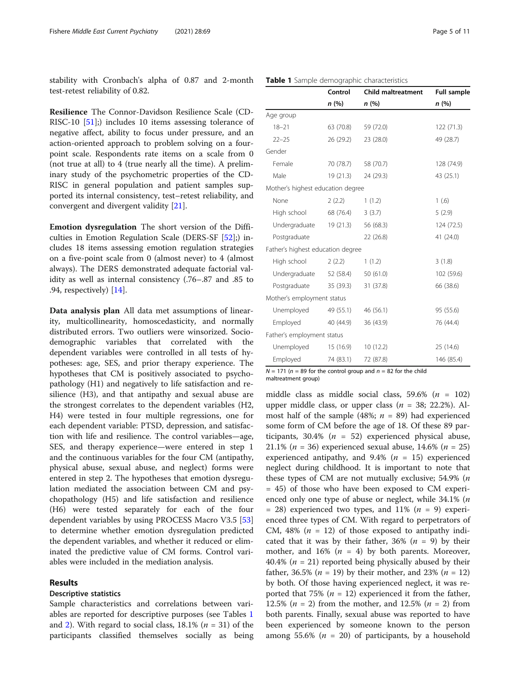stability with Cronbach's alpha of 0.87 and 2-month test-retest reliability of 0.82.

Resilience The Connor-Davidson Resilience Scale (CD-RISC-10 [[51](#page-9-0)];) includes 10 items assessing tolerance of negative affect, ability to focus under pressure, and an action-oriented approach to problem solving on a fourpoint scale. Respondents rate items on a scale from 0 (not true at all) to 4 (true nearly all the time). A preliminary study of the psychometric properties of the CD-RISC in general population and patient samples supported its internal consistency, test–retest reliability, and convergent and divergent validity [\[21](#page-9-0)].

Emotion dysregulation The short version of the Difficulties in Emotion Regulation Scale (DERS-SF [[52\]](#page-9-0);) includes 18 items assessing emotion regulation strategies on a five-point scale from 0 (almost never) to 4 (almost always). The DERS demonstrated adequate factorial validity as well as internal consistency (.76–.87 and .85 to .94, respectively) [\[14](#page-8-0)].

Data analysis plan All data met assumptions of linearity, multicollinearity, homoscedasticity, and normally distributed errors. Two outliers were winsorized. Sociodemographic variables that correlated with the dependent variables were controlled in all tests of hypotheses: age, SES, and prior therapy experience. The hypotheses that CM is positively associated to psychopathology (H1) and negatively to life satisfaction and resilience (H3), and that antipathy and sexual abuse are the strongest correlates to the dependent variables (H2, H4) were tested in four multiple regressions, one for each dependent variable: PTSD, depression, and satisfaction with life and resilience. The control variables—age, SES, and therapy experience—were entered in step 1 and the continuous variables for the four CM (antipathy, physical abuse, sexual abuse, and neglect) forms were entered in step 2. The hypotheses that emotion dysregulation mediated the association between CM and psychopathology (H5) and life satisfaction and resilience (H6) were tested separately for each of the four dependent variables by using PROCESS Macro V3.5 [[53](#page-9-0)] to determine whether emotion dysregulation predicted the dependent variables, and whether it reduced or eliminated the predictive value of CM forms. Control variables were included in the mediation analysis.

#### Results

#### Descriptive statistics

Sample characteristics and correlations between variables are reported for descriptive purposes (see Tables 1 and [2\)](#page-5-0). With regard to social class,  $18.1\%$  ( $n = 31$ ) of the participants classified themselves socially as being

| Male                              | 19 (21.3) | 24 (29.3) | 43 (25.1)  |
|-----------------------------------|-----------|-----------|------------|
| Mother's highest education degree |           |           |            |
| None                              | 2(2.2)    | 1(1.2)    | 1(6)       |
| High school                       | 68 (76.4) | 3(3.7)    | 5(2.9)     |
| Undergraduate                     | 19(21.3)  | 56 (68.3) | 124 (72.5) |
| Postgraduate                      |           | 22 (26.8) | 41 (24.0)  |
| Father's highest education degree |           |           |            |
| High school                       | 2(2.2)    | 1(1.2)    | 3(1.8)     |
| Undergraduate                     | 52 (58.4) | 50 (61.0) | 102 (59.6) |
| Postgraduate                      | 35 (39.3) | 31 (37.8) | 66 (38.6)  |
| Mother's employment status        |           |           |            |
| Unemployed                        | 49 (55.1) | 46 (56.1) | 95 (55.6)  |
| Employed                          | 40 (44.9) | 36 (43.9) | 76 (44.4)  |
| Father's employment status        |           |           |            |

Unemployed 15 (16.9) 10 (12.2) 25 (14.6) Employed 74 (83.1) 72 (87.8) 146 (85.4)

18–21 63 (70.8) 59 (72.0) 122 (71.3) 22–25 26 (29.2) 23 (28.0) 49 (28.7)

Female 70 (78.7) 58 (70.7) 128 (74.9)

Table 1 Sample demographic characteristics

Age group

Gender

Control Child maltreatment Full sample n (%) n (%) n (%)

 $N = 171$  ( $n = 89$  for the control group and  $n = 82$  for the child maltreatment group)

middle class as middle social class, 59.6% ( $n = 102$ ) upper middle class, or upper class ( $n = 38$ ; 22.2%). Almost half of the sample (48%;  $n = 89$ ) had experienced some form of CM before the age of 18. Of these 89 participants, 30.4% ( $n = 52$ ) experienced physical abuse, 21.1% ( $n = 36$ ) experienced sexual abuse, 14.6% ( $n = 25$ ) experienced antipathy, and  $9.4\%$  ( $n = 15$ ) experienced neglect during childhood. It is important to note that these types of CM are not mutually exclusive; 54.9% (n = 45) of those who have been exposed to CM experienced only one type of abuse or neglect, while 34.1% (n = 28) experienced two types, and 11%  $(n = 9)$  experienced three types of CM. With regard to perpetrators of CM, 48% ( $n = 12$ ) of those exposed to antipathy indicated that it was by their father,  $36\%$  ( $n = 9$ ) by their mother, and 16% ( $n = 4$ ) by both parents. Moreover, 40.4% ( $n = 21$ ) reported being physically abused by their father, 36.5% (*n* = 19) by their mother, and 23% (*n* = 12) by both. Of those having experienced neglect, it was reported that 75% ( $n = 12$ ) experienced it from the father, 12.5% ( $n = 2$ ) from the mother, and 12.5% ( $n = 2$ ) from both parents. Finally, sexual abuse was reported to have been experienced by someone known to the person among 55.6% ( $n = 20$ ) of participants, by a household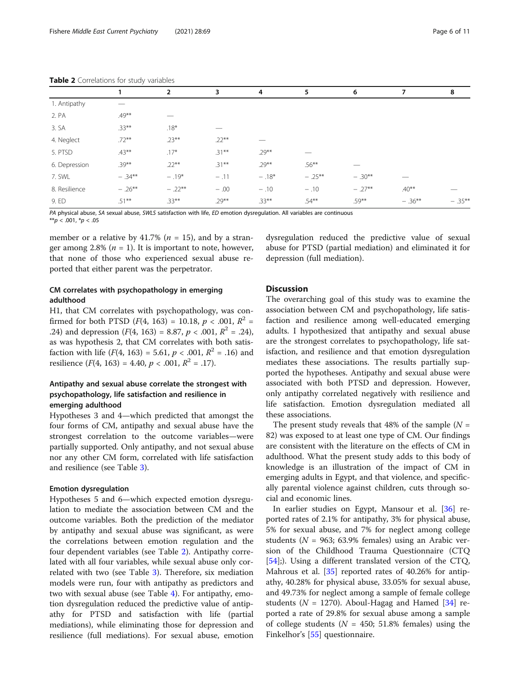|               | 1         | 2        | 3        | 4        | 5         | 6        | 7         | 8         |
|---------------|-----------|----------|----------|----------|-----------|----------|-----------|-----------|
| 1. Antipathy  |           |          |          |          |           |          |           |           |
| 2. PA         | $.49***$  |          |          |          |           |          |           |           |
| 3. SA         | $.33***$  | $.18*$   |          |          |           |          |           |           |
| 4. Neglect    | $.72***$  | $.23***$ | $.22***$ |          |           |          |           |           |
| 5. PTSD       | $.43***$  | $.17*$   | $.31***$ | $.29***$ |           |          |           |           |
| 6. Depression | $.39***$  | $.22***$ | $.31***$ | $.29***$ | $.56***$  |          |           |           |
| 7. SWL        | $-.34***$ | $-.19*$  | $-.11$   | $-.18*$  | $-.25***$ | $-.30**$ |           |           |
| 8. Resilience | $-.26***$ | $-.22**$ | $-.00$   | $-.10$   | $-.10$    | $-.27**$ | $.40**$   |           |
| 9. ED         | $.51***$  | $.33***$ | $.29***$ | $.33***$ | $.54***$  | $.59***$ | $-.36***$ | $-.35***$ |

<span id="page-5-0"></span>Table 2 Correlations for study variables

PA physical abuse, SA sexual abuse, SWLS satisfaction with life, ED emotion dysregulation. All variables are continuous

\*\*p < .001, \*p < .05

member or a relative by 41.7% ( $n = 15$ ), and by a stranger among 2.8% ( $n = 1$ ). It is important to note, however, that none of those who experienced sexual abuse reported that either parent was the perpetrator.

# CM correlates with psychopathology in emerging adulthood

H1, that CM correlates with psychopathology, was confirmed for both PTSD  $(F(4, 163) = 10.18, p < .001, R^2 =$ .24) and depression  $(F(4, 163) = 8.87, p < .001, R^2 = .24)$ , as was hypothesis 2, that CM correlates with both satisfaction with life  $(F(4, 163) = 5.61, p < .001, R^2 = .16)$  and resilience  $(F(4, 163) = 4.40, p < .001, R^2 = .17)$ .

# Antipathy and sexual abuse correlate the strongest with psychopathology, life satisfaction and resilience in emerging adulthood

Hypotheses 3 and 4—which predicted that amongst the four forms of CM, antipathy and sexual abuse have the strongest correlation to the outcome variables—were partially supported. Only antipathy, and not sexual abuse nor any other CM form, correlated with life satisfaction and resilience (see Table [3](#page-6-0)).

#### Emotion dysregulation

Hypotheses 5 and 6—which expected emotion dysregulation to mediate the association between CM and the outcome variables. Both the prediction of the mediator by antipathy and sexual abuse was significant, as were the correlations between emotion regulation and the four dependent variables (see Table 2). Antipathy correlated with all four variables, while sexual abuse only correlated with two (see Table [3\)](#page-6-0). Therefore, six mediation models were run, four with antipathy as predictors and two with sexual abuse (see Table [4](#page-7-0)). For antipathy, emotion dysregulation reduced the predictive value of antipathy for PTSD and satisfaction with life (partial mediations), while eliminating those for depression and resilience (full mediations). For sexual abuse, emotion dysregulation reduced the predictive value of sexual abuse for PTSD (partial mediation) and eliminated it for depression (full mediation).

# **Discussion**

The overarching goal of this study was to examine the association between CM and psychopathology, life satisfaction and resilience among well-educated emerging adults. I hypothesized that antipathy and sexual abuse are the strongest correlates to psychopathology, life satisfaction, and resilience and that emotion dysregulation mediates these associations. The results partially supported the hypotheses. Antipathy and sexual abuse were associated with both PTSD and depression. However, only antipathy correlated negatively with resilience and life satisfaction. Emotion dysregulation mediated all these associations.

The present study reveals that 48% of the sample  $(N =$ 82) was exposed to at least one type of CM. Our findings are consistent with the literature on the effects of CM in adulthood. What the present study adds to this body of knowledge is an illustration of the impact of CM in emerging adults in Egypt, and that violence, and specifically parental violence against children, cuts through social and economic lines.

In earlier studies on Egypt, Mansour et al. [[36\]](#page-9-0) reported rates of 2.1% for antipathy, 3% for physical abuse, 5% for sexual abuse, and 7% for neglect among college students ( $N = 963$ ; 63.9% females) using an Arabic version of the Childhood Trauma Questionnaire (CTQ [[54\]](#page-9-0);). Using a different translated version of the CTQ, Mahrous et al. [[35\]](#page-9-0) reported rates of 40.26% for antipathy, 40.28% for physical abuse, 33.05% for sexual abuse, and 49.73% for neglect among a sample of female college students ( $N = 1270$ ). Aboul-Hagag and Hamed [[34\]](#page-9-0) reported a rate of 29.8% for sexual abuse among a sample of college students ( $N = 450$ ; 51.8% females) using the Finkelhor's [[55](#page-9-0)] questionnaire.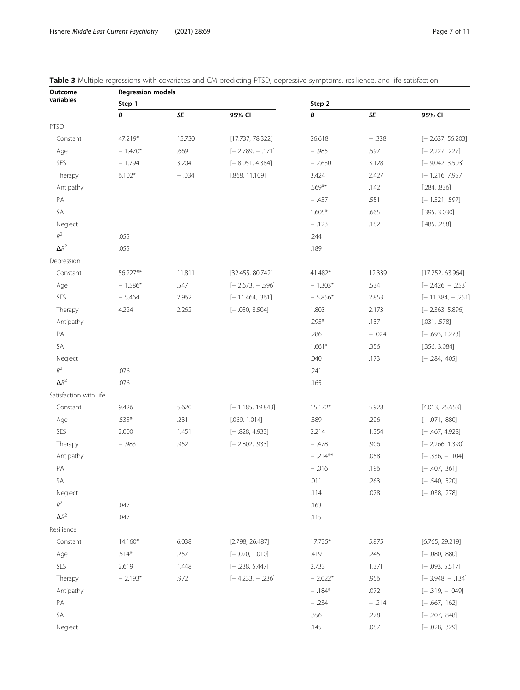| Outcome                | <b>Regression models</b> |         |                    |             |         |                     |  |  |  |
|------------------------|--------------------------|---------|--------------------|-------------|---------|---------------------|--|--|--|
| variables              | Step 1                   |         |                    | Step 2      |         |                     |  |  |  |
|                        | В                        | SE      | 95% CI             | B           | SE      | 95% CI              |  |  |  |
| PTSD                   |                          |         |                    |             |         |                     |  |  |  |
| Constant               | 47.219*                  | 15.730  | [17.737, 78.322]   | 26.618      | $-.338$ | $[-2.637, 56.203]$  |  |  |  |
| Age                    | $-1.470*$                | .669    | $[-2.789, -.171]$  | $-.985$     | .597    | $[-2.227, .227]$    |  |  |  |
| SES                    | $-1.794$                 | 3.204   | $[-8.051, 4.384]$  | $-2.630$    | 3.128   | $[-9.042, 3.503]$   |  |  |  |
| Therapy                | $6.102*$                 | $-.034$ | [.868, 11.109]     | 3.424       | 2.427   | $[-1.216, 7.957]$   |  |  |  |
| Antipathy              |                          |         |                    | .569**      | .142    | [.284, .836]        |  |  |  |
| PA                     |                          |         |                    | $-.457$     | .551    | $[-1.521, .597]$    |  |  |  |
| SA                     |                          |         |                    | $1.605*$    | .665    | [.395, 3.030]       |  |  |  |
| Neglect                |                          |         |                    | $-.123$     | .182    | [.485, .288]        |  |  |  |
| $R^2$                  | .055                     |         |                    | .244        |         |                     |  |  |  |
| $\Delta R^2$           | .055                     |         |                    | .189        |         |                     |  |  |  |
| Depression             |                          |         |                    |             |         |                     |  |  |  |
| Constant               | 56.227**                 | 11.811  | [32.455, 80.742]   | 41.482*     | 12.339  | [17.252, 63.964]    |  |  |  |
| Age                    | $-1.586*$                | .547    | $[-2.673, -0.596]$ | $-1.303*$   | .534    | $[-2.426, -0.253]$  |  |  |  |
| SES                    | $-5.464$                 | 2.962   | $[-11.464, .361]$  | $-5.856*$   | 2.853   | $[-11.384, - .251]$ |  |  |  |
| Therapy                | 4.224                    | 2.262   | $[-.050, 8.504]$   | 1.803       | 2.173   | $[-2.363, 5.896]$   |  |  |  |
| Antipathy              |                          |         |                    | .295*       | .137    | [.031, .578]        |  |  |  |
| PA                     |                          |         |                    | .286        | $-.024$ | $[-.693, 1.273]$    |  |  |  |
| SA                     |                          |         |                    | $1.661*$    | .356    | [.356, 3.084]       |  |  |  |
| Neglect                |                          |         |                    | .040        | .173    | $[-.284, .405]$     |  |  |  |
| $R^2$                  | .076                     |         |                    | .241        |         |                     |  |  |  |
| $\Delta R^2$           | .076                     |         |                    | .165        |         |                     |  |  |  |
| Satisfaction with life |                          |         |                    |             |         |                     |  |  |  |
| Constant               | 9.426                    | 5.620   | $[-1.185, 19.843]$ | 15.172*     | 5.928   | [4.013, 25.653]     |  |  |  |
| Age                    | $.535*$                  | .231    | [.069, 1.014]      | .389        | .226    | $[-.071, .880]$     |  |  |  |
| SES                    | 2.000                    | 1.451   | $[-.828, 4.933]$   | 2.214       | 1.354   | $[-.467, 4.928]$    |  |  |  |
| Therapy                | $-.983$                  | .952    | $[-2.802, .933]$   | $-.478$     | .906    | $[-2.266, 1.390]$   |  |  |  |
| Antipathy              |                          |         |                    | $- .214***$ | .058    | $[-.336, -.104]$    |  |  |  |
| PA                     |                          |         |                    | $-.016$     | .196    | $[-.407, .361]$     |  |  |  |
| SA                     |                          |         |                    | .011        | .263    | $[-.540, .520]$     |  |  |  |
| Neglect                |                          |         |                    | .114        | .078    | $[-.038, .278]$     |  |  |  |
| $\mathbb{R}^2$         | .047                     |         |                    | .163        |         |                     |  |  |  |
| $\Delta R^2$           | .047                     |         |                    | .115        |         |                     |  |  |  |
| Resilience             |                          |         |                    |             |         |                     |  |  |  |
| Constant               | 14.160*                  | 6.038   | [2.798, 26.487]    | 17.735*     | 5.875   | [6.765, 29.219]     |  |  |  |
| Age                    | $.514*$                  | .257    | $[-.020, 1.010]$   | .419        | .245    | $[-.080, .880]$     |  |  |  |
| SES                    | 2.619                    | 1.448   | $[-.238, 5.447]$   | 2.733       | 1.371   | $[-.093, 5.517]$    |  |  |  |
| Therapy                | $-2.193*$                | .972    | $[-4.233, -0.236]$ | $-2.022*$   | .956    | $[-3.948, -0.134]$  |  |  |  |
| Antipathy              |                          |         |                    | $-.184*$    | .072    | $[-.319, -.049]$    |  |  |  |
| PA                     |                          |         |                    | $-.234$     | $-.214$ | $[-.667, .162]$     |  |  |  |
| SA                     |                          |         |                    | .356        | .278    | $[-.207, .848]$     |  |  |  |
| Neglect                |                          |         |                    | .145        | .087    | $[-.028, .329]$     |  |  |  |

<span id="page-6-0"></span>

|  |  |  | Table 3 Multiple regressions with covariates and CM predicting PTSD, depressive symptoms, resilience, and life satisfaction |  |  |
|--|--|--|-----------------------------------------------------------------------------------------------------------------------------|--|--|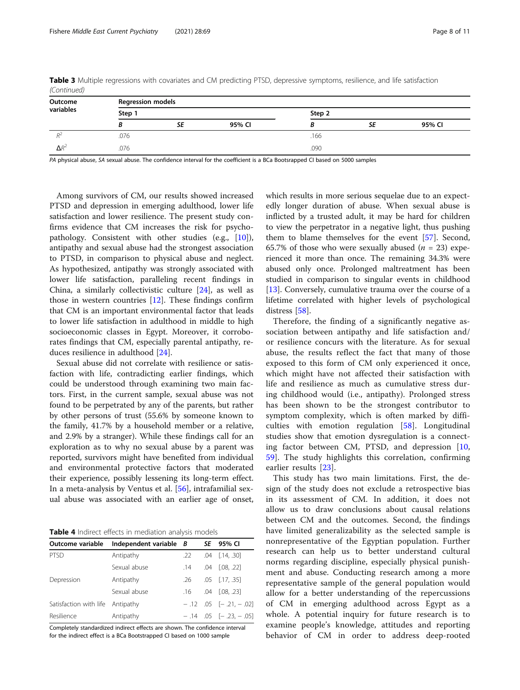| Outcome      | <b>Regression models</b> |    |        |        |    |        |  |
|--------------|--------------------------|----|--------|--------|----|--------|--|
| variables    | Step 1                   |    |        | Step 2 |    |        |  |
|              |                          | SE | 95% CI |        | SE | 95% CI |  |
|              | .076                     |    |        | .166   |    |        |  |
| $\Delta R^2$ | .076                     |    |        | .090   |    |        |  |

<span id="page-7-0"></span>Table 3 Multiple regressions with covariates and CM predicting PTSD, depressive symptoms, resilience, and life satisfaction (Continued)

PA physical abuse, SA sexual abuse. The confidence interval for the coefficient is a BCa Bootsrapped CI based on 5000 samples

Among survivors of CM, our results showed increased PTSD and depression in emerging adulthood, lower life satisfaction and lower resilience. The present study confirms evidence that CM increases the risk for psychopathology. Consistent with other studies (e.g., [\[10](#page-8-0)]), antipathy and sexual abuse had the strongest association to PTSD, in comparison to physical abuse and neglect. As hypothesized, antipathy was strongly associated with lower life satisfaction, paralleling recent findings in China, a similarly collectivistic culture [\[24](#page-9-0)], as well as those in western countries [[12](#page-8-0)]. These findings confirm that CM is an important environmental factor that leads to lower life satisfaction in adulthood in middle to high socioeconomic classes in Egypt. Moreover, it corroborates findings that CM, especially parental antipathy, reduces resilience in adulthood [\[24](#page-9-0)].

Sexual abuse did not correlate with resilience or satisfaction with life, contradicting earlier findings, which could be understood through examining two main factors. First, in the current sample, sexual abuse was not found to be perpetrated by any of the parents, but rather by other persons of trust (55.6% by someone known to the family, 41.7% by a household member or a relative, and 2.9% by a stranger). While these findings call for an exploration as to why no sexual abuse by a parent was reported, survivors might have benefited from individual and environmental protective factors that moderated their experience, possibly lessening its long-term effect. In a meta-analysis by Ventus et al. [[56](#page-9-0)], intrafamilial sexual abuse was associated with an earlier age of onset,

Table 4 Indirect effects in mediation analysis models

| Outcome variable                 | Independent variable B |     | SE | 95% CI                    |
|----------------------------------|------------------------|-----|----|---------------------------|
|                                  |                        |     |    |                           |
| <b>PTSD</b>                      | Antipathy              | .22 |    | $.04$ $[.14, .30]$        |
|                                  | Sexual abuse           | .14 |    | .04 [.08. .22]            |
| Depression                       | Antipathy              | .26 |    | $.05$ $[.17, .35]$        |
|                                  | Sexual abuse           | .16 |    | $.04$ $[.08, .23]$        |
| Satisfaction with life Antipathy |                        |     |    | $-.12$ .05 $[-.21, -.02]$ |
| Resilience                       | Antipathy              |     |    | $-.14$ .05 $[-.23, -.05]$ |

Completely standardized indirect effects are shown. The confidence interval for the indirect effect is a BCa Bootstrapped CI based on 1000 sample

which results in more serious sequelae due to an expectedly longer duration of abuse. When sexual abuse is inflicted by a trusted adult, it may be hard for children to view the perpetrator in a negative light, thus pushing them to blame themselves for the event [[57\]](#page-9-0). Second, 65.7% of those who were sexually abused  $(n = 23)$  experienced it more than once. The remaining 34.3% were abused only once. Prolonged maltreatment has been studied in comparison to singular events in childhood [[13\]](#page-8-0). Conversely, cumulative trauma over the course of a lifetime correlated with higher levels of psychological distress [\[58](#page-10-0)].

Therefore, the finding of a significantly negative association between antipathy and life satisfaction and/ or resilience concurs with the literature. As for sexual abuse, the results reflect the fact that many of those exposed to this form of CM only experienced it once, which might have not affected their satisfaction with life and resilience as much as cumulative stress during childhood would (i.e., antipathy). Prolonged stress has been shown to be the strongest contributor to symptom complexity, which is often marked by difficulties with emotion regulation [[58](#page-10-0)]. Longitudinal studies show that emotion dysregulation is a connecting factor between CM, PTSD, and depression [\[10](#page-8-0), [59\]](#page-10-0). The study highlights this correlation, confirming earlier results [\[23](#page-9-0)].

This study has two main limitations. First, the design of the study does not exclude a retrospective bias in its assessment of CM. In addition, it does not allow us to draw conclusions about causal relations between CM and the outcomes. Second, the findings have limited generalizability as the selected sample is nonrepresentative of the Egyptian population. Further research can help us to better understand cultural norms regarding discipline, especially physical punishment and abuse. Conducting research among a more representative sample of the general population would allow for a better understanding of the repercussions of CM in emerging adulthood across Egypt as a whole. A potential inquiry for future research is to examine people's knowledge, attitudes and reporting behavior of CM in order to address deep-rooted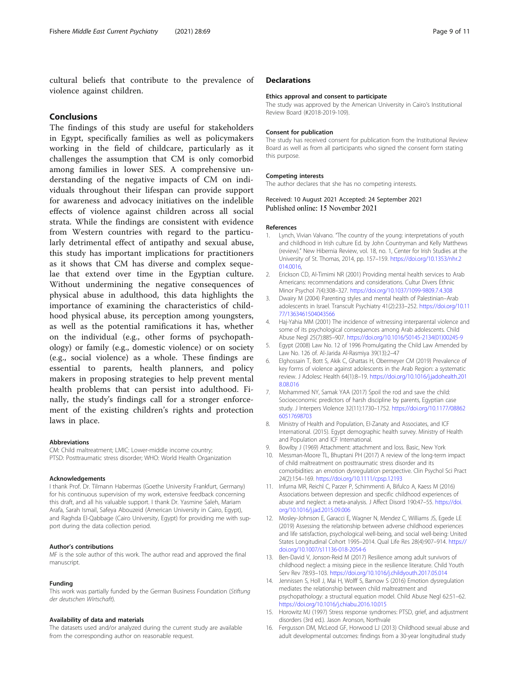<span id="page-8-0"></span>cultural beliefs that contribute to the prevalence of violence against children.

# Conclusions

The findings of this study are useful for stakeholders in Egypt, specifically families as well as policymakers working in the field of childcare, particularly as it challenges the assumption that CM is only comorbid among families in lower SES. A comprehensive understanding of the negative impacts of CM on individuals throughout their lifespan can provide support for awareness and advocacy initiatives on the indelible effects of violence against children across all social strata. While the findings are consistent with evidence from Western countries with regard to the particularly detrimental effect of antipathy and sexual abuse, this study has important implications for practitioners as it shows that CM has diverse and complex sequelae that extend over time in the Egyptian culture. Without undermining the negative consequences of physical abuse in adulthood, this data highlights the importance of examining the characteristics of childhood physical abuse, its perception among youngsters, as well as the potential ramifications it has, whether on the individual (e.g., other forms of psychopathology) or family (e.g., domestic violence) or on society (e.g., social violence) as a whole. These findings are essential to parents, health planners, and policy makers in proposing strategies to help prevent mental health problems that can persist into adulthood. Finally, the study's findings call for a stronger enforcement of the existing children's rights and protection laws in place.

#### Abbreviations

CM: Child maltreatment; LMIC: Lower-middle income country; PTSD: Posttraumatic stress disorder; WHO: World Health Organization

#### Acknowledgements

I thank Prof. Dr. Tilmann Habermas (Goethe University Frankfurt, Germany) for his continuous supervision of my work, extensive feedback concerning this draft, and all his valuable support. I thank Dr. Yasmine Saleh, Mariam Arafa, Sarah Ismail, Safeya Abouzeid (American University in Cairo, Egypt), and Raghda El-Qabbage (Cairo University, Egypt) for providing me with support during the data collection period.

#### Author's contributions

MF is the sole author of this work. The author read and approved the final manuscript.

#### Funding

This work was partially funded by the German Business Foundation (Stiftung der deutschen Wirtschaft).

#### Availability of data and materials

The datasets used and/or analyzed during the current study are available from the corresponding author on reasonable request.

#### **Declarations**

#### Ethics approval and consent to participate

The study was approved by the American University in Cairo's Institutional Review Board (#2018-2019-109).

#### Consent for publication

The study has received consent for publication from the Institutional Review Board as well as from all participants who signed the consent form stating this purpose.

#### Competing interests

The author declares that she has no competing interests.

Received: 10 August 2021 Accepted: 24 September 2021 Published online: 15 November 2021

#### References

- 1. Lynch, Vivian Valvano. "The country of the young: interpretations of youth and childhood in Irish culture Ed. by John Countryman and Kelly Matthews (review)." New Hibernia Review, vol. 18, no. 1, Center for Irish Studies at the University of St. Thomas, 2014, pp. 157–159. [https://doi.org/10.1353/nhr.2](https://doi.org/10.1353/nhr.2014.0016) [014.0016,](https://doi.org/10.1353/nhr.2014.0016)
- 2. Erickson CD, Al-Timimi NR (2001) Providing mental health services to Arab Americans: recommendations and considerations. Cultur Divers Ethnic Minor Psychol 7(4):308–327. <https://doi.org/10.1037/1099-9809.7.4.308>
- 3. Dwairy M (2004) Parenting styles and mental health of Palestinian–Arab adolescents in Israel. Transcult Psychiatry 41(2):233–252. [https://doi.org/10.11](https://doi.org/10.1177/1363461504043566) [77/1363461504043566](https://doi.org/10.1177/1363461504043566)
- 4. Haj-Yahia MM (2001) The incidence of witnessing interparental violence and some of its psychological consequences among Arab adolescents. Child Abuse Negl 25(7):885–907. [https://doi.org/10.1016/S0145-2134\(01\)00245-9](https://doi.org/10.1016/S0145-2134(01)00245-9)
- 5. Egypt (2008) Law No. 12 of 1996 Promulgating the Child Law Amended by Law No. 126 of. Al-Jarida Al-Rasmiya 39(13):2–47
- 6. Elghossain T, Bott S, Akik C, Ghattas H, Obermeyer CM (2019) Prevalence of key forms of violence against adolescents in the Arab Region: a systematic review. J Adolesc Health 64(1):8–19. [https://doi.org/10.1016/j.jadohealth.201](https://doi.org/10.1016/j.jadohealth.2018.08.016) [8.08.016](https://doi.org/10.1016/j.jadohealth.2018.08.016)
- 7. Mohammed NY, Samak YAA (2017) Spoil the rod and save the child: Socioeconomic predictors of harsh discipline by parents, Egyptian case study. J Interpers Violence 32(11):1730–1752. [https://doi.org/10.1177/08862](https://doi.org/10.1177/0886260517698703) [60517698703](https://doi.org/10.1177/0886260517698703)
- 8. Ministry of Health and Population, El-Zanaty and Associates, and ICF International. (2015). Egypt demographic health survey. Ministry of Health and Population and ICF International.
- 9. Bowlby J (1969) Attachment: attachment and loss. Basic, New York
- 10. Messman-Moore TL, Bhuptani PH (2017) A review of the long-term impact of child maltreatment on posttraumatic stress disorder and its comorbidities: an emotion dysregulation perspective. Clin Psychol Sci Pract 24(2):154–169. <https://doi.org/10.1111/cpsp.12193>
- 11. Infurna MR, Reichl C, Parzer P, Schimmenti A, Bifulco A, Kaess M (2016) Associations between depression and specific childhood experiences of abuse and neglect: a meta-analysis. J Affect Disord 190:47–55. [https://doi.](https://doi.org/10.1016/j.jad.2015.09.006) [org/10.1016/j.jad.2015.09.006](https://doi.org/10.1016/j.jad.2015.09.006)
- 12. Mosley-Johnson E, Garacci E, Wagner N, Mendez C, Williams JS, Egede LE (2019) Assessing the relationship between adverse childhood experiences and life satisfaction, psychological well-being, and social well-being: United States Longitudinal Cohort 1995–2014. Qual Life Res 28(4):907–914. [https://](https://doi.org/10.1007/s11136-018-2054-6) [doi.org/10.1007/s11136-018-2054-6](https://doi.org/10.1007/s11136-018-2054-6)
- 13. Ben-David V, Jonson-Reid M (2017) Resilience among adult survivors of childhood neglect: a missing piece in the resilience literature. Child Youth Serv Rev 78:93–103. <https://doi.org/10.1016/j.childyouth.2017.05.014>
- 14. Jennissen S, Holl J, Mai H, Wolff S, Barnow S (2016) Emotion dysregulation mediates the relationship between child maltreatment and psychopathology: a structural equation model. Child Abuse Negl 62:51–62. <https://doi.org/10.1016/j.chiabu.2016.10.015>
- 15. Horowitz MJ (1997) Stress response syndromes: PTSD, grief, and adjustment disorders (3rd ed.). Jason Aronson, Northvale
- 16. Fergusson DM, McLeod GF, Horwood LJ (2013) Childhood sexual abuse and adult developmental outcomes: findings from a 30-year longitudinal study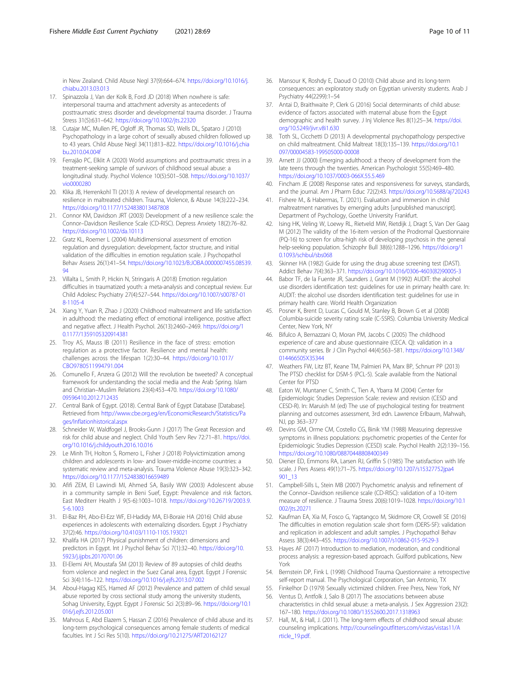<span id="page-9-0"></span>in New Zealand. Child Abuse Negl 37(9):664–674. [https://doi.org/10.1016/j.](https://doi.org/10.1016/j.chiabu.2013.03.013) [chiabu.2013.03.013](https://doi.org/10.1016/j.chiabu.2013.03.013)

- 17. Spinazzola J, Van der Kolk B, Ford JD (2018) When nowhere is safe: interpersonal trauma and attachment adversity as antecedents of posttraumatic stress disorder and developmental trauma disorder. J Trauma Stress 31(5):631–642. <https://doi.org/10.1002/jts.22320>
- 18. Cutajar MC, Mullen PE, Ogloff JR, Thomas SD, Wells DL, Spataro J (2010) Psychopathology in a large cohort of sexually abused children followed up to 43 years. Child Abuse Negl 34(11):813–822. [https://doi.org/10.1016/j.chia](https://doi.org/10.1016/j.chiabu.2010.04.004f) [bu.2010.04.004f](https://doi.org/10.1016/j.chiabu.2010.04.004f)
- 19. Ferrajão PC, Elklit A (2020) World assumptions and posttraumatic stress in a treatment-seeking sample of survivors of childhood sexual abuse: a longitudinal study. Psychol Violence 10(5):501–508. [https://doi.org/10.1037/](https://doi.org/10.1037/vio0000280) [vio0000280](https://doi.org/10.1037/vio0000280)
- 20. Klika JB, Herrenkohl TI (2013) A review of developmental research on resilience in maltreated children. Trauma, Violence, & Abuse 14(3):222–234. <https://doi.org/10.1177/1524838013487808>
- 21. Connor KM, Davidson JRT (2003) Development of a new resilience scale: the Connor–Davidson Resilience Scale (CD-RISC). Depress Anxiety 18(2):76–82. <https://doi.org/10.1002/da.10113>
- 22. Gratz KL, Roemer L (2004) Multidimensional assessment of emotion regulation and dysregulation: development, factor structure, and initial validation of the difficulties in emotion regulation scale. J Psychopathol Behav Assess 26(1):41–54. [https://doi.org/10.1023/B:JOBA.0000007455.08539.](https://doi.org/10.1023/B:JOBA.0000007455.08539.94) [94](https://doi.org/10.1023/B:JOBA.0000007455.08539.94)
- 23. Villalta L, Smith P, Hickin N, Stringaris A (2018) Emotion regulation difficulties in traumatized youth: a meta-analysis and conceptual review. Eur Child Adolesc Psychiatry 27(4):527–544. [https://doi.org/10.1007/s00787-01](https://doi.org/10.1007/s00787-018-1105-4) [8-1105-4](https://doi.org/10.1007/s00787-018-1105-4)
- 24. Xiang Y, Yuan R, Zhao J (2020) Childhood maltreatment and life satisfaction in adulthood: the mediating effect of emotional intelligence, positive affect and negative affect. J Health Psychol. 26(13):2460–2469. [https://doi.org/1](https://doi.org/10.1177/1359105320914381) [0.1177/1359105320914381](https://doi.org/10.1177/1359105320914381)
- 25. Troy AS, Mauss IB (2011) Resilience in the face of stress: emotion regulation as a protective factor. Resilience and mental health: challenges across the lifespan 1(2):30–44. [https://doi.org/10.1017/](https://doi.org/10.1017/CBO9780511994791.004) [CBO9780511994791.004](https://doi.org/10.1017/CBO9780511994791.004)
- 26. Comunello F, Anzera G (2012) Will the revolution be tweeted? A conceptual framework for understanding the social media and the Arab Spring. Islam and Christian–Muslim Relations 23(4):453–470. [https://doi.org/10.1080/](https://doi.org/10.1080/09596410.2012.712435) [09596410.2012.712435](https://doi.org/10.1080/09596410.2012.712435)
- 27. Central Bank of Egypt. (2018). Central Bank of Egypt Database [Database]. Retrieved from [http://www.cbe.org.eg/en/EconomicResearch/Statistics/Pa](http://www.cbe.org.eg/en/EconomicResearch/Statistics/Pages/Inflationhistorical.aspx) [ges/Inflationhistorical.aspx](http://www.cbe.org.eg/en/EconomicResearch/Statistics/Pages/Inflationhistorical.aspx)
- 28. Schneider W, Waldfogel J, Brooks-Gunn J (2017) The Great Recession and risk for child abuse and neglect. Child Youth Serv Rev 72:71–81. [https://doi.](https://doi.org/10.1016/j.childyouth.2016.10.016) [org/10.1016/j.childyouth.2016.10.016](https://doi.org/10.1016/j.childyouth.2016.10.016)
- 29. Le Minh TH, Holton S, Romero L, Fisher J (2018) Polyvictimization among children and adolescents in low- and lower-middle-income countries: a systematic review and meta-analysis. Trauma Violence Abuse 19(3):323–342. <https://doi.org/10.1177/1524838016659489>
- 30. Afifi ZEM, El Lawindi MI, Ahmed SA, Basily WW (2003) Adolescent abuse in a community sample in Beni Suef, Egypt: Prevalence and risk factors. East Mediterr Health J 9(5-6):1003–1018. [https://doi.org/10.26719/2003.9.](https://doi.org/10.26719/2003.9.5-6.1003) [5-6.1003](https://doi.org/10.26719/2003.9.5-6.1003)
- 31. El-Baz RH, Abo-El-Ezz WF, El-Hadidy MA, El-Boraie HA (2016) Child abuse experiences in adolescents with externalizing disorders. Egypt J Psychiatry 37(2):46. <https://doi.org/10.4103/1110-1105.193021>
- 32. Khalifa HA (2017) Physical punishment of children: dimensions and predictors in Egypt. Int J Psychol Behav Sci 7(1):32–40. [https://doi.org/10.](https://doi.org/10.5923/j.ijpbs.20170701.06) [5923/j.ijpbs.20170701.06](https://doi.org/10.5923/j.ijpbs.20170701.06)
- 33. El-Elemi AH, Moustafa SM (2013) Review of 89 autopsies of child deaths from violence and neglect in the Suez Canal area, Egypt. Egypt J Forensic Sci 3(4):116–122. <https://doi.org/10.1016/j.ejfs.2013.07.002>
- 34. Aboul-Hagag KES, Hamed AF (2012) Prevalence and pattern of child sexual abuse reported by cross sectional study among the university students, Sohag University, Egypt. Egypt J Forensic Sci 2(3):89–96. [https://doi.org/10.1](https://doi.org/10.1016/j.ejfs.2012.05.001) [016/j.ejfs.2012.05.001](https://doi.org/10.1016/j.ejfs.2012.05.001)
- 35. Mahrous E, Abd Elazem S, Hassan Z (2016) Prevalence of child abuse and its long-term psychological consequences among female students of medical faculties. Int J Sci Res 5(10). <https://doi.org/10.21275/ART20162127>
- 36. Mansour K, Roshdy E, Daoud O (2010) Child abuse and its long-term consequences: an exploratory study on Egyptian university students. Arab J Psychiatry 44(2299):1–54
- 37. Antai D, Braithwaite P, Clerk G (2016) Social determinants of child abuse: evidence of factors associated with maternal abuse from the Egypt demographic and health survey. J Inj Violence Res 8(1):25–34. [https://doi.](https://doi.org/10.5249/jivr.v8i1.630) [org/10.5249/jivr.v8i1.630](https://doi.org/10.5249/jivr.v8i1.630)
- 38. Toth SL, Cicchetti D (2013) A developmental psychopathology perspective on child maltreatment. Child Maltreat 18(3):135–139. [https://doi.org/10.1](https://doi.org/10.1097/00004583-199505000-00008) [097/00004583-199505000-00008](https://doi.org/10.1097/00004583-199505000-00008)
- 39. Arnett JJ (2000) Emerging adulthood: a theory of development from the late teens through the twenties. American Psychologist 55(5):469–480. <https://doi.org/10.1037/0003-066X.55.5.469>
- 40. Fincham JE (2008) Response rates and responsiveness for surveys, standards, and the journal. Am J Pharm Educ 72(2):43. <https://doi.org/10.5688/aj720243>
- 41. Fishere M., & Habermas, T. (2021). Evaluation and immersion in child maltreatment narratives by emerging adults [unpublished manuscript]. Department of Psychology, Goethe University Frankfurt.
- 42. Ising HK, Veling W, Loewy RL, Rietveld MW, Rietdijk J, Dragt S, Van Der Gaag M (2012) The validity of the 16-item version of the Prodromal Questionnaire (PQ-16) to screen for ultra-high risk of developing psychosis in the general help-seeking population. Schizophr Bull 38(6):1288–1296. [https://doi.org/1](https://doi.org/10.1093/schbul/sbs068) [0.1093/schbul/sbs068](https://doi.org/10.1093/schbul/sbs068)
- 43. Skinner HA (1982) Guide for using the drug abuse screening test (DAST). Addict Behav 7(4):363–371. [https://doi.org/10.1016/0306-4603\(82\)90005-3](https://doi.org/10.1016/0306-4603(82)90005-3)
- 44. Babor TF, de la Fuente JR, Saunders J, Grant M (1992) AUDIT: the alcohol use disorders identification test: guidelines for use in primary health care. In: AUDIT: the alcohol use disorders identification test: guidelines for use in primary health care. World Health Organization
- 45. Posner K, Brent D, Lucas C, Gould M, Stanley B, Brown G et al (2008) Columbia-suicide severity rating scale (C-SSRS). Columbia University Medical Center, New York, NY
- 46. Bifulco A, Bernazzani O, Moran PM, Jacobs C (2005) The childhood experience of care and abuse questionnaire (CECA. Q): validation in a community series. Br J Clin Psychol 44(4):563–581. [https://doi.org/10.1348/](https://doi.org/10.1348/014466505X35344) [014466505X35344](https://doi.org/10.1348/014466505X35344)
- 47. Weathers FW, Litz BT, Keane TM, Palmieri PA, Marx BP, Schnurr PP (2013) The PTSD checklist for DSM-5 (PCL-5). Scale available from the National Center for PTSD
- 48. Eaton W, Muntaner C, Smith C, Tien A, Ybarra M (2004) Center for Epidemiologic Studies Depression Scale: review and revision (CESD and CESD-R). In: Maruish M (ed) The use of psychological testing for treatment planning and outcomes assessment, 3rd edn. Lawrence Erlbaum, Mahwah, NJ, pp 363–377
- 49. Devins GM, Orme CM, Costello CG, Binik YM (1988) Measuring depressive symptoms in illness populations: psychometric properties of the Center for Epidemiologic Studies Depression (CESD) scale. Psychol Health 2(2):139–156. <https://doi.org/10.1080/08870448808400349>
- 50. Diener ED, Emmons RA, Larsen RJ, Griffin S (1985) The satisfaction with life scale. J Pers Assess 49(1):71–75. [https://doi.org/10.1207/s15327752jpa4](https://doi.org/10.1207/s15327752jpa4901_13) [901\\_13](https://doi.org/10.1207/s15327752jpa4901_13)
- 51. Campbell-Sills L, Stein MB (2007) Psychometric analysis and refinement of the Connor–Davidson resilience scale (CD-RISC): validation of a 10-item measure of resilience. J Trauma Stress 20(6):1019–1028. [https://doi.org/10.1](https://doi.org/10.1002/jts.20271) [002/jts.20271](https://doi.org/10.1002/jts.20271)
- 52. Kaufman EA, Xia M, Fosco G, Yaptangco M, Skidmore CR, Crowell SE (2016) The difficulties in emotion regulation scale short form (DERS-SF): validation and replication in adolescent and adult samples. J Psychopathol Behav Assess 38(3):443–455. <https://doi.org/10.1007/s10862-015-9529-3>
- 53. Hayes AF (2017) Introduction to mediation, moderation, and conditional process analysis: a regression-based approach. Guilford publications, New York
- 54. Bernstein DP, Fink L (1998) Childhood Trauma Questionnaire: a retrospective self-report manual. The Psychological Corporation, San Antonio, TX
- 55. Finkelhor D (1979) Sexually victimized children. Free Press, New York, NY
- 56. Ventus D, Antfolk J, Salo B (2017) The associations between abuse characteristics in child sexual abuse: a meta-analysis. J Sex Aggression 23(2): 167–180. <https://doi.org/10.1080/13552600.2017.1318963>
- 57. Hall, M., & Hall, J. (2011). The long-term effects of childhood sexual abuse: counseling implications. [http://counselingoutfitters.com/vistas/vistas11/A](http://counselingoutfitters.com/vistas/vistas11/Article_19.pdf) [rticle\\_19.pdf.](http://counselingoutfitters.com/vistas/vistas11/Article_19.pdf)